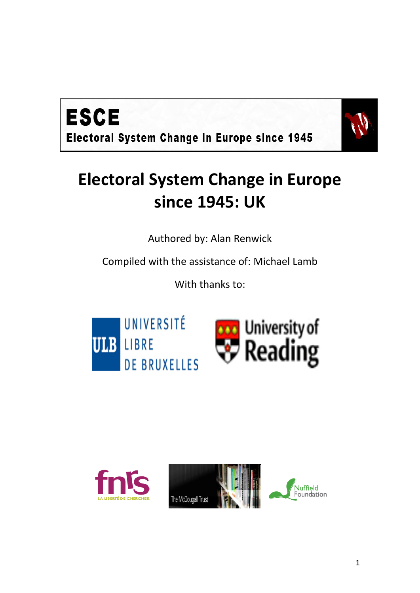



## **Electoral System Change in Europe since 1945: UK**

Authored by: Alan Renwick

Compiled with the assistance of: Michael Lamb

With thanks to:



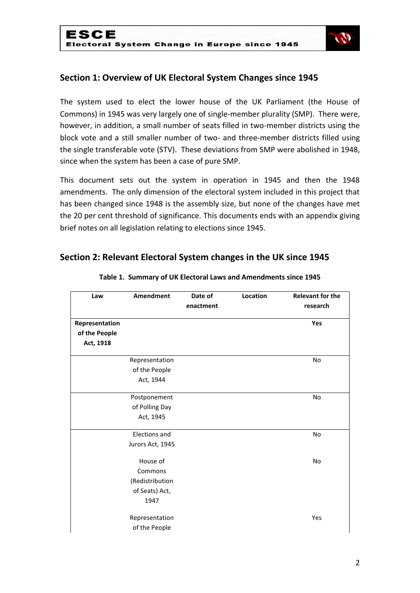

## **Section 1: Overview of UK Electoral System Changes since 1945**

The system used to elect the lower house of the UK Parliament (the House of Commons) in 1945 was very largely one of single-member plurality (SMP). There were, however, in addition, a small number of seats filled in two-member districts using the block vote and a still smaller number of two- and three-member districts filled using the single transferable vote (STV). These deviations from SMP were abolished in 1948, since when the system has been a case of pure SMP.

This document sets out the system in operation in 1945 and then the 1948 amendments. The only dimension of the electoral system included in this project that has been changed since 1948 is the assembly size, but none of the changes have met the 20 per cent threshold of significance. This documents ends with an appendix giving brief notes on all legislation relating to elections since 1945.

## **Section 2: Relevant Electoral System changes in the UK since 1945**

| Law            | Amendment            | Date of   | Location | <b>Relevant for the</b> |
|----------------|----------------------|-----------|----------|-------------------------|
|                |                      | enactment |          | research                |
| Representation |                      |           |          | Yes                     |
| of the People  |                      |           |          |                         |
| Act, 1918      |                      |           |          |                         |
|                | Representation       |           |          | No                      |
|                | of the People        |           |          |                         |
|                | Act, 1944            |           |          |                         |
|                | Postponement         |           |          | No                      |
|                | of Polling Day       |           |          |                         |
|                | Act, 1945            |           |          |                         |
|                | <b>Elections and</b> |           |          | No                      |
|                | Jurors Act, 1945     |           |          |                         |
|                | House of             |           |          | <b>No</b>               |
|                | Commons              |           |          |                         |
|                | (Redistribution      |           |          |                         |
|                | of Seats) Act,       |           |          |                         |
|                | 1947                 |           |          |                         |
|                | Representation       |           |          | Yes                     |
|                | of the People        |           |          |                         |

#### **Table 1. Summary of UK Electoral Laws and Amendments since 1945**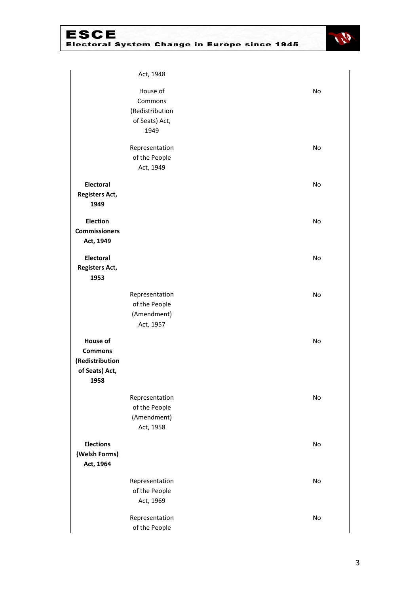

|                       | Act, 1948       |    |
|-----------------------|-----------------|----|
|                       | House of        | No |
|                       | Commons         |    |
|                       | (Redistribution |    |
|                       | of Seats) Act,  |    |
|                       | 1949            |    |
|                       |                 |    |
|                       | Representation  | No |
|                       | of the People   |    |
|                       | Act, 1949       |    |
| <b>Electoral</b>      |                 | No |
| <b>Registers Act,</b> |                 |    |
| 1949                  |                 |    |
|                       |                 |    |
| <b>Election</b>       |                 | No |
| <b>Commissioners</b>  |                 |    |
| Act, 1949             |                 |    |
| <b>Electoral</b>      |                 | No |
| <b>Registers Act,</b> |                 |    |
| 1953                  |                 |    |
|                       |                 |    |
|                       | Representation  | No |
|                       | of the People   |    |
|                       | (Amendment)     |    |
|                       | Act, 1957       |    |
|                       |                 |    |
| <b>House of</b>       |                 | No |
| <b>Commons</b>        |                 |    |
| (Redistribution       |                 |    |
| of Seats) Act,        |                 |    |
| 1958                  |                 |    |
|                       | Representation  | No |
|                       | of the People   |    |
|                       | (Amendment)     |    |
|                       | Act, 1958       |    |
|                       |                 |    |
| <b>Elections</b>      |                 | No |
| (Welsh Forms)         |                 |    |
| Act, 1964             |                 |    |
|                       | Representation  | No |
|                       | of the People   |    |
|                       | Act, 1969       |    |
|                       | Representation  | No |
|                       | of the People   |    |
|                       |                 |    |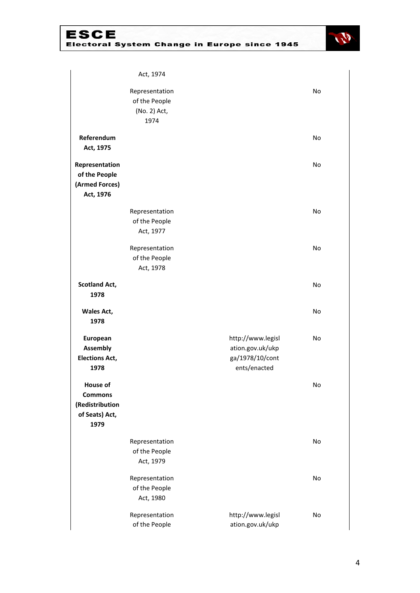

|                                                                         | Act, 1974                                               |                                                                          |           |
|-------------------------------------------------------------------------|---------------------------------------------------------|--------------------------------------------------------------------------|-----------|
|                                                                         | Representation<br>of the People<br>(No. 2) Act,<br>1974 |                                                                          | No        |
| Referendum<br>Act, 1975                                                 |                                                         |                                                                          | <b>No</b> |
| Representation<br>of the People<br>(Armed Forces)<br>Act, 1976          |                                                         |                                                                          | No        |
|                                                                         | Representation<br>of the People<br>Act, 1977            |                                                                          | No        |
|                                                                         | Representation<br>of the People<br>Act, 1978            |                                                                          | No        |
| <b>Scotland Act,</b><br>1978                                            |                                                         |                                                                          | No        |
| Wales Act,<br>1978                                                      |                                                         |                                                                          | No        |
| European<br><b>Assembly</b><br><b>Elections Act,</b><br>1978            |                                                         | http://www.legisl<br>ation.gov.uk/ukp<br>ga/1978/10/cont<br>ents/enacted | <b>No</b> |
| House of<br><b>Commons</b><br>(Redistribution<br>of Seats) Act,<br>1979 |                                                         |                                                                          | No        |
|                                                                         | Representation<br>of the People<br>Act, 1979            |                                                                          | No        |
|                                                                         | Representation<br>of the People<br>Act, 1980            |                                                                          | No        |
|                                                                         | Representation<br>of the People                         | http://www.legisl<br>ation.gov.uk/ukp                                    | No        |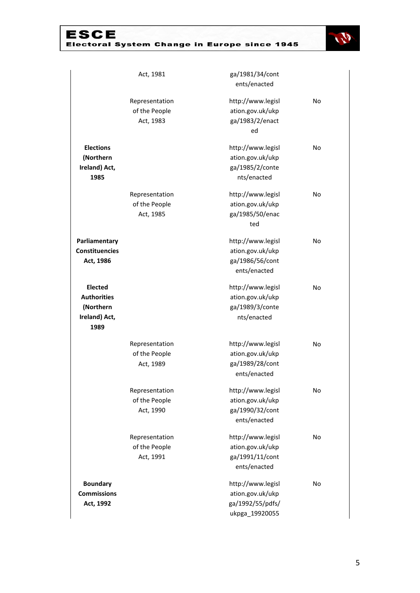

|                       | Act, 1981      | ga/1981/34/cont   |           |
|-----------------------|----------------|-------------------|-----------|
|                       |                | ents/enacted      |           |
|                       | Representation | http://www.legisl | No        |
|                       | of the People  | ation.gov.uk/ukp  |           |
|                       | Act, 1983      | ga/1983/2/enact   |           |
|                       |                | ed                |           |
| <b>Elections</b>      |                | http://www.legisl | No        |
| (Northern             |                | ation.gov.uk/ukp  |           |
| Ireland) Act,         |                | ga/1985/2/conte   |           |
| 1985                  |                | nts/enacted       |           |
|                       | Representation | http://www.legisl | No        |
|                       | of the People  | ation.gov.uk/ukp  |           |
|                       | Act, 1985      | ga/1985/50/enac   |           |
|                       |                | ted               |           |
| Parliamentary         |                | http://www.legisl | No        |
| <b>Constituencies</b> |                | ation.gov.uk/ukp  |           |
| Act, 1986             |                | ga/1986/56/cont   |           |
|                       |                | ents/enacted      |           |
| <b>Elected</b>        |                | http://www.legisl | <b>No</b> |
| <b>Authorities</b>    |                | ation.gov.uk/ukp  |           |
| (Northern             |                | ga/1989/3/conte   |           |
| Ireland) Act,         |                | nts/enacted       |           |
| 1989                  |                |                   |           |
|                       | Representation | http://www.legisl | No        |
|                       | of the People  | ation.gov.uk/ukp  |           |
|                       | Act, 1989      | ga/1989/28/cont   |           |
|                       |                | ents/enacted      |           |
|                       | Representation | http://www.legisl | No        |
|                       | of the People  | ation.gov.uk/ukp  |           |
|                       | Act, 1990      | ga/1990/32/cont   |           |
|                       |                | ents/enacted      |           |
|                       | Representation | http://www.legisl | No        |
|                       | of the People  | ation.gov.uk/ukp  |           |
|                       | Act, 1991      | ga/1991/11/cont   |           |
|                       |                | ents/enacted      |           |
| <b>Boundary</b>       |                | http://www.legisl | No        |
| <b>Commissions</b>    |                | ation.gov.uk/ukp  |           |
| Act, 1992             |                | ga/1992/55/pdfs/  |           |
|                       |                | ukpga_19920055    |           |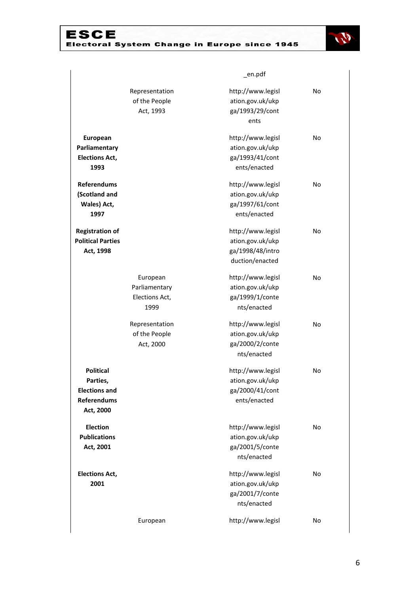

|                                        |                | _en.pdf           |    |
|----------------------------------------|----------------|-------------------|----|
|                                        | Representation | http://www.legisl | No |
|                                        | of the People  | ation.gov.uk/ukp  |    |
|                                        | Act, 1993      | ga/1993/29/cont   |    |
|                                        |                | ents              |    |
| European                               |                | http://www.legisl | No |
| Parliamentary                          |                | ation.gov.uk/ukp  |    |
| <b>Elections Act,</b>                  |                | ga/1993/41/cont   |    |
| 1993                                   |                | ents/enacted      |    |
| <b>Referendums</b>                     |                | http://www.legisl | No |
| (Scotland and                          |                | ation.gov.uk/ukp  |    |
| Wales) Act,                            |                | ga/1997/61/cont   |    |
| 1997                                   |                | ents/enacted      |    |
| <b>Registration of</b>                 |                | http://www.legisl | No |
| <b>Political Parties</b>               |                | ation.gov.uk/ukp  |    |
| Act, 1998                              |                | ga/1998/48/intro  |    |
|                                        |                | duction/enacted   |    |
|                                        | European       | http://www.legisl | No |
|                                        | Parliamentary  | ation.gov.uk/ukp  |    |
|                                        | Elections Act, | ga/1999/1/conte   |    |
|                                        | 1999           | nts/enacted       |    |
|                                        | Representation | http://www.legisl | No |
|                                        | of the People  | ation.gov.uk/ukp  |    |
|                                        | Act, 2000      | ga/2000/2/conte   |    |
|                                        |                | nts/enacted       |    |
| <b>Political</b>                       |                | http://www.legisl | No |
| Parties,                               |                | ation.gov.uk/ukp  |    |
| <b>Elections and</b>                   |                | ga/2000/41/cont   |    |
| <b>Referendums</b><br>Act, 2000        |                | ents/enacted      |    |
|                                        |                |                   |    |
| <b>Election</b><br><b>Publications</b> |                | http://www.legisl | No |
|                                        |                | ation.gov.uk/ukp  |    |
| Act, 2001                              |                | ga/2001/5/conte   |    |
|                                        |                | nts/enacted       |    |
| <b>Elections Act,</b>                  |                | http://www.legisl | No |
| 2001                                   |                | ation.gov.uk/ukp  |    |
|                                        |                | ga/2001/7/conte   |    |
|                                        |                | nts/enacted       |    |
|                                        | European       | http://www.legisl | No |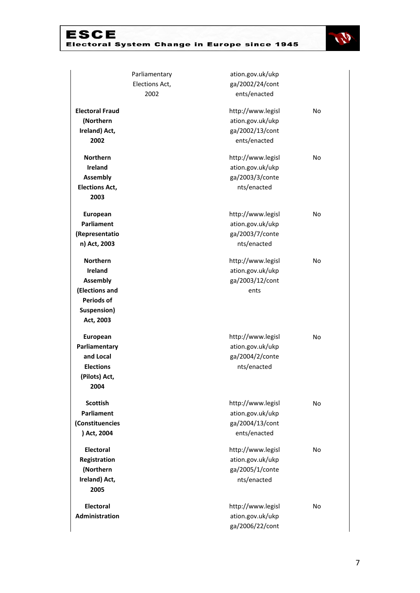

|                        | Parliamentary  | ation.gov.uk/ukp  |    |
|------------------------|----------------|-------------------|----|
|                        | Elections Act, | ga/2002/24/cont   |    |
|                        | 2002           | ents/enacted      |    |
| <b>Electoral Fraud</b> |                | http://www.legisl | No |
| (Northern              |                | ation.gov.uk/ukp  |    |
| Ireland) Act,          |                | ga/2002/13/cont   |    |
| 2002                   |                | ents/enacted      |    |
| <b>Northern</b>        |                | http://www.legisl | No |
| <b>Ireland</b>         |                | ation.gov.uk/ukp  |    |
| <b>Assembly</b>        |                | ga/2003/3/conte   |    |
| <b>Elections Act,</b>  |                | nts/enacted       |    |
| 2003                   |                |                   |    |
| European               |                | http://www.legisl | No |
| Parliament             |                | ation.gov.uk/ukp  |    |
| (Representatio         |                | ga/2003/7/conte   |    |
| n) Act, 2003           |                | nts/enacted       |    |
| <b>Northern</b>        |                | http://www.legisl | No |
| <b>Ireland</b>         |                | ation.gov.uk/ukp  |    |
| <b>Assembly</b>        |                | ga/2003/12/cont   |    |
| (Elections and         |                | ents              |    |
| <b>Periods of</b>      |                |                   |    |
| Suspension)            |                |                   |    |
| Act, 2003              |                |                   |    |
| <b>European</b>        |                | http://www.legisl | No |
| Parliamentary          |                | ation.gov.uk/ukp  |    |
| and Local              |                | ga/2004/2/conte   |    |
| <b>Elections</b>       |                | nts/enacted       |    |
| (Pilots) Act,          |                |                   |    |
| 2004                   |                |                   |    |
| <b>Scottish</b>        |                | http://www.legisl | No |
| Parliament             |                | ation.gov.uk/ukp  |    |
| (Constituencies        |                | ga/2004/13/cont   |    |
| ) Act, 2004            |                | ents/enacted      |    |
| <b>Electoral</b>       |                | http://www.legisl | No |
| Registration           |                | ation.gov.uk/ukp  |    |
| (Northern              |                | ga/2005/1/conte   |    |
| Ireland) Act,          |                | nts/enacted       |    |
| 2005                   |                |                   |    |
| Electoral              |                | http://www.legisl | No |
| Administration         |                | ation.gov.uk/ukp  |    |
|                        |                | ga/2006/22/cont   |    |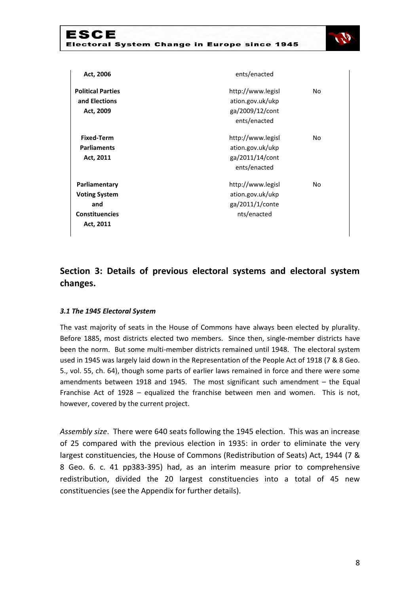

| Act, 2006                | ents/enacted      |           |
|--------------------------|-------------------|-----------|
| <b>Political Parties</b> | http://www.legisl | No        |
| and Elections            | ation.gov.uk/ukp  |           |
| Act, 2009                | ga/2009/12/cont   |           |
|                          | ents/enacted      |           |
| <b>Fixed-Term</b>        | http://www.legisl | <b>No</b> |
| <b>Parliaments</b>       | ation.gov.uk/ukp  |           |
| Act, 2011                | ga/2011/14/cont   |           |
|                          | ents/enacted      |           |
| Parliamentary            | http://www.legisl | No        |
| <b>Voting System</b>     | ation.gov.uk/ukp  |           |
| and                      | ga/2011/1/conte   |           |
| <b>Constituencies</b>    | nts/enacted       |           |
| Act, 2011                |                   |           |
|                          |                   |           |

## **Section 3: Details of previous electoral systems and electoral system changes.**

### *3.1 The 1945 Electoral System*

The vast majority of seats in the House of Commons have always been elected by plurality. Before 1885, most districts elected two members. Since then, single-member districts have been the norm. But some multi-member districts remained until 1948. The electoral system used in 1945 was largely laid down in the Representation of the People Act of 1918 (7 & 8 Geo. 5., vol. 55, ch. 64), though some parts of earlier laws remained in force and there were some amendments between 1918 and 1945. The most significant such amendment  $-$  the Equal Franchise Act of 1928 – equalized the franchise between men and women. This is not, however, covered by the current project.

*Assembly size*. There were 640 seats following the 1945 election. This was an increase of 25 compared with the previous election in 1935: in order to eliminate the very largest constituencies, the House of Commons (Redistribution of Seats) Act, 1944 (7 & 8 Geo. 6. c. 41 pp383-395) had, as an interim measure prior to comprehensive redistribution, divided the 20 largest constituencies into a total of 45 new constituencies (see the Appendix for further details).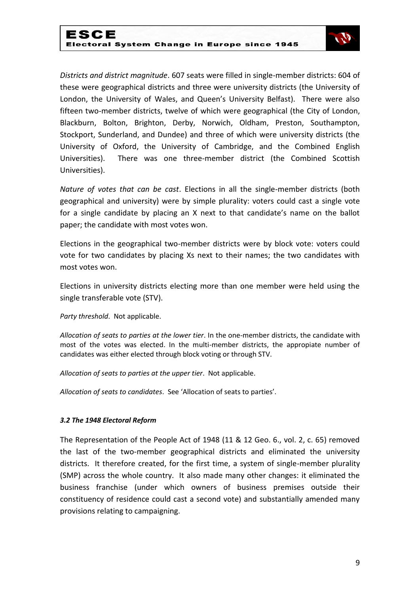

*Districts and district magnitude*. 607 seats were filled in single-member districts: 604 of these were geographical districts and three were university districts (the University of London, the University of Wales, and Queen's University Belfast). There were also fifteen two-member districts, twelve of which were geographical (the City of London, Blackburn, Bolton, Brighton, Derby, Norwich, Oldham, Preston, Southampton, Stockport, Sunderland, and Dundee) and three of which were university districts (the University of Oxford, the University of Cambridge, and the Combined English Universities). There was one three-member district (the Combined Scottish Universities).

*Nature of votes that can be cast*. Elections in all the single-member districts (both geographical and university) were by simple plurality: voters could cast a single vote for a single candidate by placing an X next to that candidate's name on the ballot paper; the candidate with most votes won.

Elections in the geographical two-member districts were by block vote: voters could vote for two candidates by placing Xs next to their names; the two candidates with most votes won.

Elections in university districts electing more than one member were held using the single transferable vote (STV).

*Party threshold*. Not applicable.

*Allocation of seats to parties at the lower tier*. In the one-member districts, the candidate with most of the votes was elected. In the multi-member districts, the appropiate number of candidates was either elected through block voting or through STV.

*Allocation of seats to parties at the upper tier*. Not applicable.

*Allocation of seats to candidates*. See 'Allocation of seats to parties'.

### *3.2 The 1948 Electoral Reform*

The Representation of the People Act of 1948 (11 & 12 Geo. 6., vol. 2, c. 65) removed the last of the two-member geographical districts and eliminated the university districts. It therefore created, for the first time, a system of single-member plurality (SMP) across the whole country. It also made many other changes: it eliminated the business franchise (under which owners of business premises outside their constituency of residence could cast a second vote) and substantially amended many provisions relating to campaigning.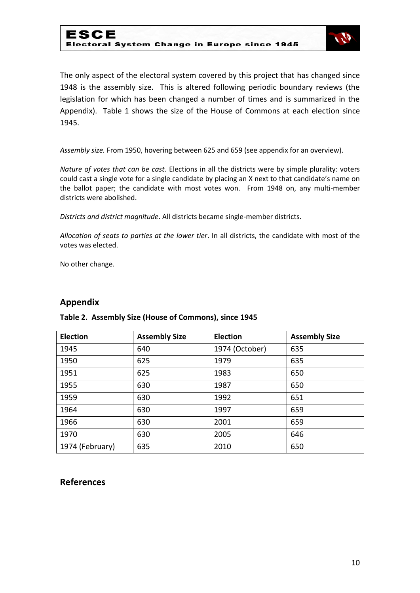

The only aspect of the electoral system covered by this project that has changed since 1948 is the assembly size. This is altered following periodic boundary reviews (the legislation for which has been changed a number of times and is summarized in the Appendix). Table 1 shows the size of the House of Commons at each election since 1945.

*Assembly size.* From 1950, hovering between 625 and 659 (see appendix for an overview).

*Nature of votes that can be cast*. Elections in all the districts were by simple plurality: voters could cast a single vote for a single candidate by placing an X next to that candidate's name on the ballot paper; the candidate with most votes won. From 1948 on, any multi-member districts were abolished.

*Districts and district magnitude*. All districts became single-member districts.

*Allocation of seats to parties at the lower tier*. In all districts, the candidate with most of the votes was elected.

No other change.

## **Appendix**

| <b>Election</b> | <b>Assembly Size</b> | <b>Election</b> | <b>Assembly Size</b> |
|-----------------|----------------------|-----------------|----------------------|
| 1945            | 640                  | 1974 (October)  | 635                  |
| 1950            | 625                  | 1979            | 635                  |
| 1951            | 625                  | 1983            | 650                  |
| 1955            | 630                  | 1987            | 650                  |
| 1959            | 630                  | 1992            | 651                  |
| 1964            | 630                  | 1997            | 659                  |
| 1966            | 630                  | 2001            | 659                  |
| 1970            | 630                  | 2005            | 646                  |
| 1974 (February) | 635                  | 2010            | 650                  |

### **Table 2. Assembly Size (House of Commons), since 1945**

## **References**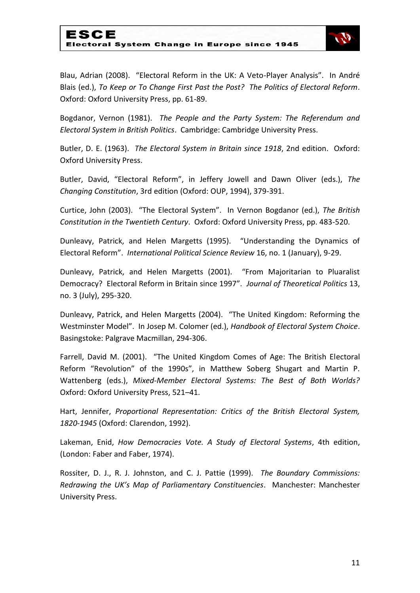

Blau, Adrian (2008). "Electoral Reform in the UK: A Veto-Player Analysis". In André Blais (ed.), *To Keep or To Change First Past the Post? The Politics of Electoral Reform*. Oxford: Oxford University Press, pp. 61-89.

Bogdanor, Vernon (1981). *The People and the Party System: The Referendum and Electoral System in British Politics*. Cambridge: Cambridge University Press.

Butler, D. E. (1963). *The Electoral System in Britain since 1918*, 2nd edition. Oxford: Oxford University Press.

Butler, David, "Electoral Reform", in Jeffery Jowell and Dawn Oliver (eds.), *The Changing Constitution*, 3rd edition (Oxford: OUP, 1994), 379-391.

Curtice, John (2003). "The Electoral System". In Vernon Bogdanor (ed.), *The British Constitution in the Twentieth Century*. Oxford: Oxford University Press, pp. 483-520.

Dunleavy, Patrick, and Helen Margetts (1995). "Understanding the Dynamics of Electoral Reform". *International Political Science Review* 16, no. 1 (January), 9-29.

Dunleavy, Patrick, and Helen Margetts (2001). "From Majoritarian to Pluaralist Democracy? Electoral Reform in Britain since 1997". *Journal of Theoretical Politics* 13, no. 3 (July), 295-320.

Dunleavy, Patrick, and Helen Margetts (2004). "The United Kingdom: Reforming the Westminster Model". In Josep M. Colomer (ed.), *Handbook of Electoral System Choice*. Basingstoke: Palgrave Macmillan, 294-306.

Farrell, David M. (2001). "The United Kingdom Comes of Age: The British Electoral Reform "Revolution" of the 1990s", in Matthew Soberg Shugart and Martin P. Wattenberg (eds.), *Mixed-Member Electoral Systems: The Best of Both Worlds?* Oxford: Oxford University Press, 521–41.

Hart, Jennifer, *Proportional Representation: Critics of the British Electoral System, 1820-1945* (Oxford: Clarendon, 1992).

Lakeman, Enid, *How Democracies Vote. A Study of Electoral Systems*, 4th edition, (London: Faber and Faber, 1974).

Rossiter, D. J., R. J. Johnston, and C. J. Pattie (1999). *The Boundary Commissions: Redrawing the UK's Map of Parliamentary Constituencies*. Manchester: Manchester University Press.